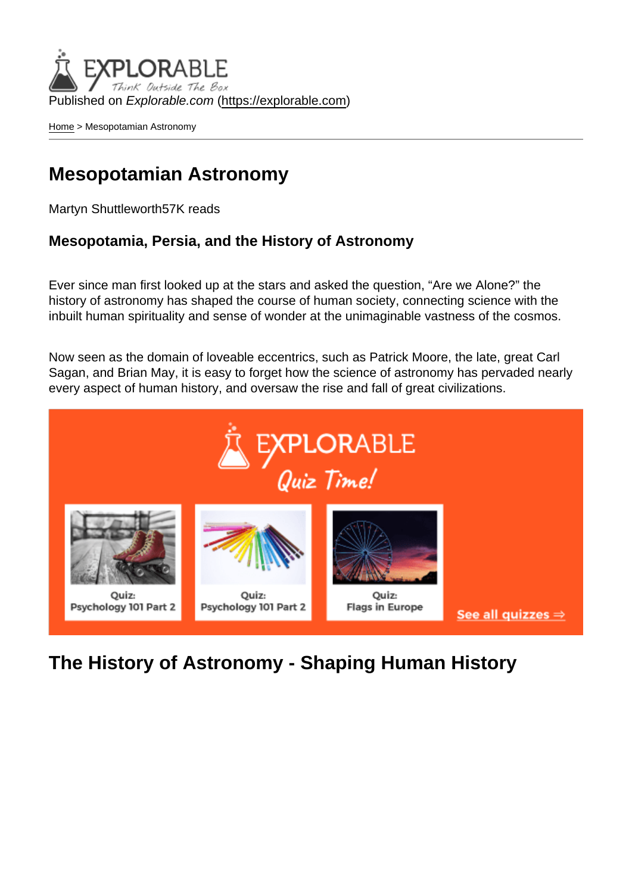Published on Explorable.com (<https://explorable.com>)

[Home](https://explorable.com/) > Mesopotamian Astronomy

#### Mesopotamian Astronomy

Martyn Shuttleworth57K reads

Mesopotamia, Persia, and the History of Astronomy

Ever since man first looked up at the stars and asked the question, "Are we Alone?" the history of astronomy has shaped the course of human society, connecting science with the inbuilt human spirituality and sense of wonder at the unimaginable vastness of the cosmos.

Now seen as the domain of loveable eccentrics, such as Patrick Moore, the late, great Carl Sagan, and Brian May, it is easy to forget how the science of astronomy has pervaded nearly every aspect of human history, and oversaw the rise and fall of great civilizations.

The History of Astronomy - Shaping Human History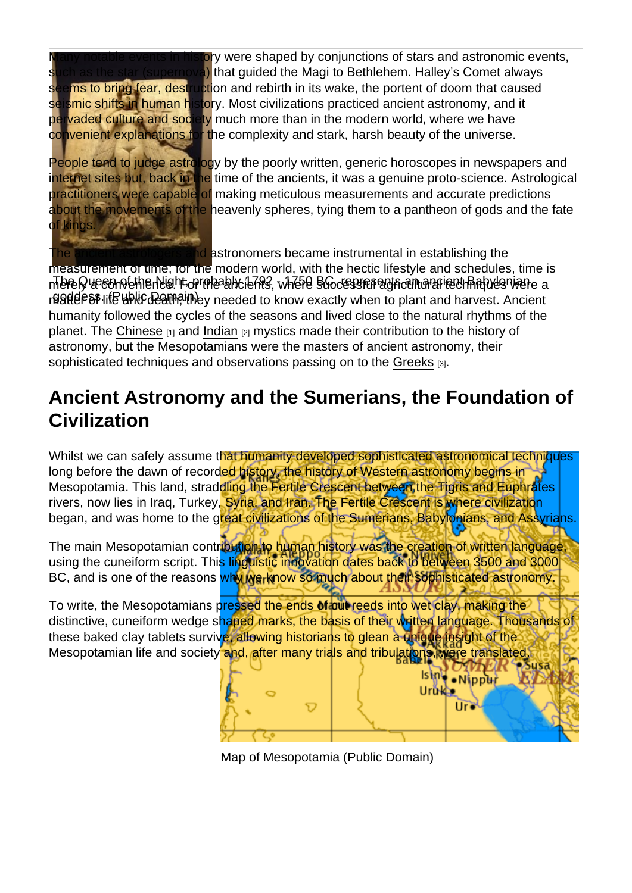Many notable events in history were shaped by conjunctions of stars and astronomic events, such as the star (supernova) that guided the Magi to Bethlehem. Halley's Comet always seems to bring fear, destruction and rebirth in its wake, the portent of doom that caused seismic shifts in human history. Most civilizations practiced ancient astronomy, and it pervaded culture and society much more than in the modern world, where we have convenient explanations for the complexity and stark, harsh beauty of the universe.

People tend to judge astrology by the poorly written, generic horoscopes in newspapers and internet sites but, back in the time of the ancients, it was a genuine proto-science. Astrological practitioners were capable of making meticulous measurements and accurate predictions about the movements of the heavenly spheres, tying them to a pantheon of gods and the fate of kings.

merery verson vethen Night op repeably 16793, where Byoors are and an anarient Babylonian e a reade est life whis dear matthey needed to know exactly when to plant and harvest. Ancient The ancient astrologers and astronomers became instrumental in establishing the measurement of time; for the modern world, with the hectic lifestyle and schedules, time is humanity followed the cycles of the seasons and lived close to the natural rhythms of the planet. The [Chinese](https://explorable.com/chinese-astronomy)  $[1]$  and [Indian](https://explorable.com/indian-astronomy)  $[2]$  mystics made their contribution to the history of astronomy, but the Mesopotamians were the masters of ancient astronomy, their sophisticated techniques and observations passing on to the [Greeks](https://explorable.com/greek-astronomy) [3].

#### Ancient Astronomy and the Sumerians, the Foundation of **Civilization**

Whilst we can safely assume that humanity developed sophisticated astronomical techniques long before the dawn of recorded history, the history of Western astronomy begins in Mesopotamia. This land, straddling the Fertile Crescent between the Tigris and Euphrates rivers, now lies in Iraq, Turkey, Syria, and Iran. The Fertile Crescent is where civilization began, and was home to the great civilizations of the Sumerians, Babylonians, and Assyrians.

The main Mesopotamian contribution to human history was the creation of written language, using the cuneiform script. This linguistic innovation dates back to between 3500 and 3000 BC, and is one of the reasons why we know so much about their sophisticated astronomy.

To write, the Mesopotamians pressed the ends of cut reeds into wet clay, making the distinctive, cuneiform wedge shaped marks, the basis of their written language. Thousands of these baked clay tablets survive, allowing historians to glean a unique insight of the Mesopotamian life and society and, after many trials and tribulations, were translated.

Map of Mesopotamia (Public Domain)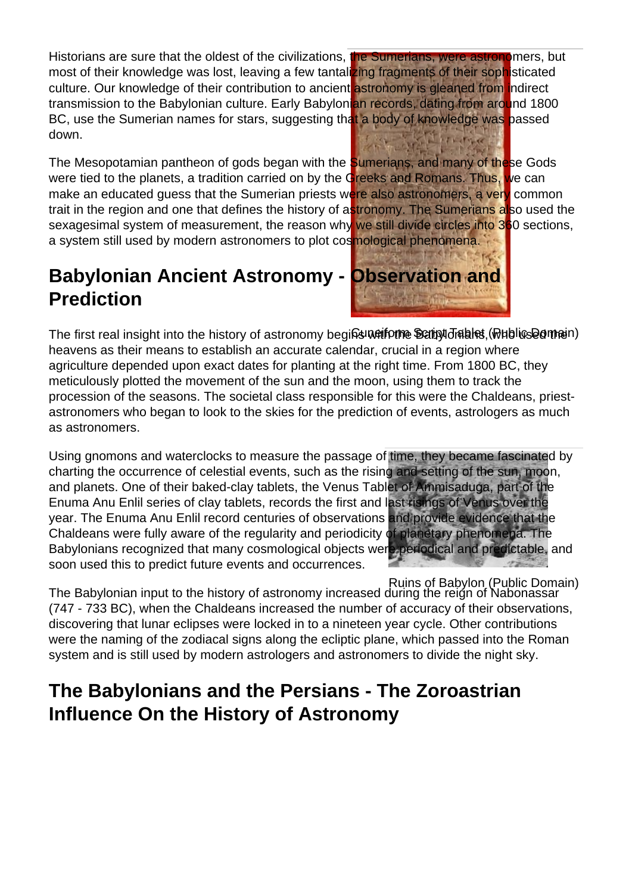Historians are sure that the oldest of the civilizations, the Sumerians, were astronomers, but most of their knowledge was lost, leaving a few tantalizing fragments of their sophisticated culture. Our knowledge of their contribution to ancient astronomy is gleaned from indirect transmission to the Babylonian culture. Early Babylonian records, dating from around 1800 BC, use the Sumerian names for stars, suggesting that a body of knowledge was passed down.

The Mesopotamian pantheon of gods began with the Sumerians, and many of these Gods were tied to the planets, a tradition carried on by the Greeks and Romans. Thus, we can make an educated guess that the Sumerian priests were also astronomers, a very common trait in the region and one that defines the history of astronomy. The Sumerians also used the sexagesimal system of measurement, the reason why we still divide circles into 360 sections, a system still used by modern astronomers to plot cosmological phenomena.

## **Babylonian Ancient Astronomy - Observation and Prediction**

Cuneiform Script Tablet (Public Domain) The first real insight into the history of astronomy begins with the Babylonians, who used the heavens as their means to establish an accurate calendar, crucial in a region where agriculture depended upon exact dates for planting at the right time. From 1800 BC, they meticulously plotted the movement of the sun and the moon, using them to track the procession of the seasons. The societal class responsible for this were the Chaldeans, priestastronomers who began to look to the skies for the prediction of events, astrologers as much as astronomers.

Using gnomons and waterclocks to measure the passage of time, they became fascinated by charting the occurrence of celestial events, such as the rising and setting of the sun, moon, and planets. One of their baked-clay tablets, the Venus Tablet of Ammisaduga, part of the Enuma Anu Enlil series of clay tablets, records the first and last risings of Venus over the year. The Enuma Anu Enlil record centuries of observations and provide evidence that the Chaldeans were fully aware of the regularity and periodicity of planetary phenomena. The Babylonians recognized that many cosmological objects were periodical and predictable, and soon used this to predict future events and occurrences.

Ruins of Babylon (Public Domain) The Babylonian input to the history of astronomy increased during the reign of Nabonassar (747 - 733 BC), when the Chaldeans increased the number of accuracy of their observations, discovering that lunar eclipses were locked in to a nineteen year cycle. Other contributions were the naming of the zodiacal signs along the ecliptic plane, which passed into the Roman system and is still used by modern astrologers and astronomers to divide the night sky.

## **The Babylonians and the Persians - The Zoroastrian Influence On the History of Astronomy**

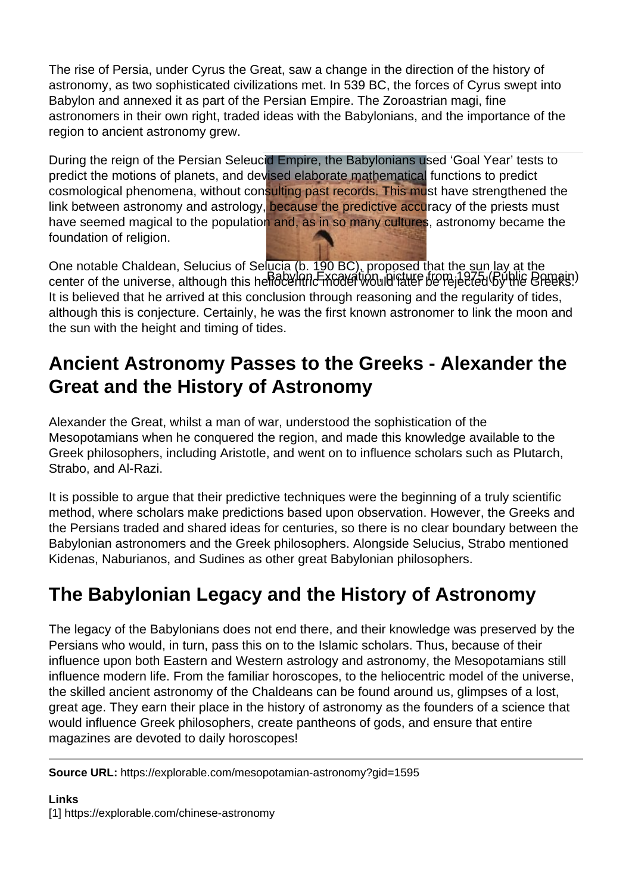The rise of Persia, under Cyrus the Great, saw a change in the direction of the history of astronomy, as two sophisticated civilizations met. In 539 BC, the forces of Cyrus swept into Babylon and annexed it as part of the Persian Empire. The Zoroastrian magi, fine astronomers in their own right, traded ideas with the Babylonians, and the importance of the region to ancient astronomy grew.

During the reign of the Persian Seleucid Empire, the Babylonians used 'Goal Year' tests to predict the motions of planets, and devised elaborate mathematical functions to predict cosmological phenomena, without consulting past records. This must have strengthened the link between astronomy and astrology, because the predictive accuracy of the priests must have seemed magical to the population and, as in so many cultures, astronomy became the foundation of religion.

center of the universe, although this heliocentric model would ratter be rejected by this Breeks.) One notable Chaldean, Selucius of Selucia (b. 190 BC), proposed that the sun lay at the It is believed that he arrived at this conclusion through reasoning and the regularity of tides, although this is conjecture. Certainly, he was the first known astronomer to link the moon and the sun with the height and timing of tides.

## **Ancient Astronomy Passes to the Greeks - Alexander the Great and the History of Astronomy**

Alexander the Great, whilst a man of war, understood the sophistication of the Mesopotamians when he conquered the region, and made this knowledge available to the Greek philosophers, including Aristotle, and went on to influence scholars such as Plutarch, Strabo, and Al-Razi.

It is possible to argue that their predictive techniques were the beginning of a truly scientific method, where scholars make predictions based upon observation. However, the Greeks and the Persians traded and shared ideas for centuries, so there is no clear boundary between the Babylonian astronomers and the Greek philosophers. Alongside Selucius, Strabo mentioned Kidenas, Naburianos, and Sudines as other great Babylonian philosophers.

# **The Babylonian Legacy and the History of Astronomy**

The legacy of the Babylonians does not end there, and their knowledge was preserved by the Persians who would, in turn, pass this on to the Islamic scholars. Thus, because of their influence upon both Eastern and Western astrology and astronomy, the Mesopotamians still influence modern life. From the familiar horoscopes, to the heliocentric model of the universe, the skilled ancient astronomy of the Chaldeans can be found around us, glimpses of a lost, great age. They earn their place in the history of astronomy as the founders of a science that would influence Greek philosophers, create pantheons of gods, and ensure that entire magazines are devoted to daily horoscopes!

**Source URL:** https://explorable.com/mesopotamian-astronomy?gid=1595